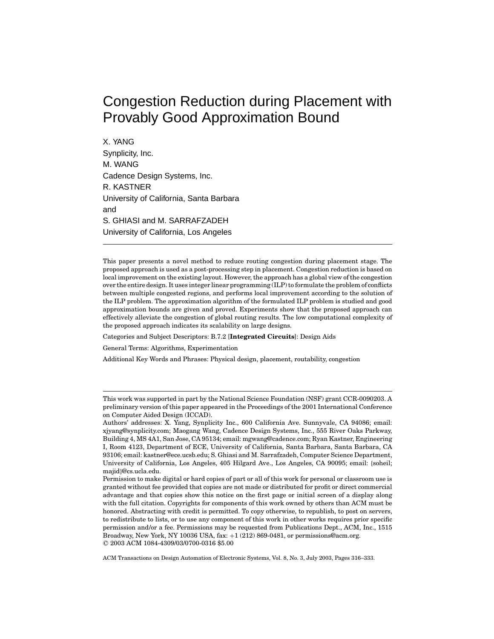# Congestion Reduction during Placement with Provably Good Approximation Bound

X. YANG Synplicity, Inc. M. WANG Cadence Design Systems, Inc. R. KASTNER University of California, Santa Barbara and S. GHIASI and M. SARRAFZADEH University of California, Los Angeles

This paper presents a novel method to reduce routing congestion during placement stage. The proposed approach is used as a post-processing step in placement. Congestion reduction is based on local improvement on the existing layout. However, the approach has a global view of the congestion over the entire design. It uses integer linear programming (ILP) to formulate the problem of conflicts between multiple congested regions, and performs local improvement according to the solution of the ILP problem. The approximation algorithm of the formulated ILP problem is studied and good approximation bounds are given and proved. Experiments show that the proposed approach can effectively alleviate the congestion of global routing results. The low computational complexity of the proposed approach indicates its scalability on large designs.

Categories and Subject Descriptors: B.7.2 [**Integrated Circuits**]: Design Aids

General Terms: Algorithms, Experimentation

Additional Key Words and Phrases: Physical design, placement, routability, congestion

This work was supported in part by the National Science Foundation (NSF) grant CCR-0090203. A preliminary version of this paper appeared in the Proceedings of the 2001 International Conference on Computer Aided Design (ICCAD).

Authors' addresses: X. Yang, Synplicity Inc., 600 California Ave. Sunnyvale, CA 94086; email: xjyang@synplicity.com; Maogang Wang, Cadence Design Systems, Inc., 555 River Oaks Parkway, Building 4, MS 4A1, San Jose, CA 95134; email: mgwang@cadence.com; Ryan Kastner, Engineering I, Room 4123, Department of ECE, University of California, Santa Barbara, Santa Barbara, CA 93106; email: kastner@ece.ucsb.edu; S. Ghiasi and M. Sarrafzadeh, Computer Science Department, University of California, Los Angeles, 405 Hilgard Ave., Los Angeles, CA 90095; email: {soheil; majid}@cs.ucla.edu.

Permission to make digital or hard copies of part or all of this work for personal or classroom use is granted without fee provided that copies are not made or distributed for profit or direct commercial advantage and that copies show this notice on the first page or initial screen of a display along with the full citation. Copyrights for components of this work owned by others than ACM must be honored. Abstracting with credit is permitted. To copy otherwise, to republish, to post on servers, to redistribute to lists, or to use any component of this work in other works requires prior specific permission and/or a fee. Permissions may be requested from Publications Dept., ACM, Inc., 1515 Broadway, New York, NY 10036 USA,  $\text{fax:} +1$  (212) 869-0481, or permissions@acm.org. °<sup>C</sup> 2003 ACM 1084-4309/03/0700-0316 \$5.00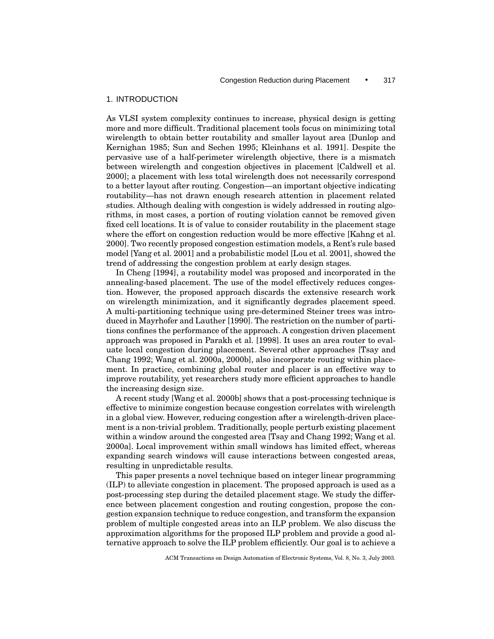# 1. INTRODUCTION

As VLSI system complexity continues to increase, physical design is getting more and more difficult. Traditional placement tools focus on minimizing total wirelength to obtain better routability and smaller layout area [Dunlop and Kernighan 1985; Sun and Sechen 1995; Kleinhans et al. 1991]. Despite the pervasive use of a half-perimeter wirelength objective, there is a mismatch between wirelength and congestion objectives in placement [Caldwell et al. 2000]; a placement with less total wirelength does not necessarily correspond to a better layout after routing. Congestion—an important objective indicating routability—has not drawn enough research attention in placement related studies. Although dealing with congestion is widely addressed in routing algorithms, in most cases, a portion of routing violation cannot be removed given fixed cell locations. It is of value to consider routability in the placement stage where the effort on congestion reduction would be more effective [Kahng et al. 2000]. Two recently proposed congestion estimation models, a Rent's rule based model [Yang et al. 2001] and a probabilistic model [Lou et al. 2001], showed the trend of addressing the congestion problem at early design stages.

In Cheng [1994], a routability model was proposed and incorporated in the annealing-based placement. The use of the model effectively reduces congestion. However, the proposed approach discards the extensive research work on wirelength minimization, and it significantly degrades placement speed. A multi-partitioning technique using pre-determined Steiner trees was introduced in Mayrhofer and Lauther [1990]. The restriction on the number of partitions confines the performance of the approach. A congestion driven placement approach was proposed in Parakh et al. [1998]. It uses an area router to evaluate local congestion during placement. Several other approaches [Tsay and Chang 1992; Wang et al. 2000a, 2000b], also incorporate routing within placement. In practice, combining global router and placer is an effective way to improve routability, yet researchers study more efficient approaches to handle the increasing design size.

A recent study [Wang et al. 2000b] shows that a post-processing technique is effective to minimize congestion because congestion correlates with wirelength in a global view. However, reducing congestion after a wirelength-driven placement is a non-trivial problem. Traditionally, people perturb existing placement within a window around the congested area [Tsay and Chang 1992; Wang et al. 2000a]. Local improvement within small windows has limited effect, whereas expanding search windows will cause interactions between congested areas, resulting in unpredictable results.

This paper presents a novel technique based on integer linear programming (ILP) to alleviate congestion in placement. The proposed approach is used as a post-processing step during the detailed placement stage. We study the difference between placement congestion and routing congestion, propose the congestion expansion technique to reduce congestion, and transform the expansion problem of multiple congested areas into an ILP problem. We also discuss the approximation algorithms for the proposed ILP problem and provide a good alternative approach to solve the ILP problem efficiently. Our goal is to achieve a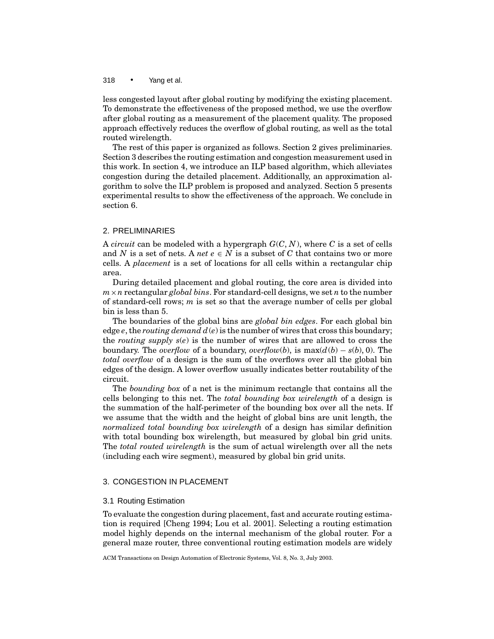less congested layout after global routing by modifying the existing placement. To demonstrate the effectiveness of the proposed method, we use the overflow after global routing as a measurement of the placement quality. The proposed approach effectively reduces the overflow of global routing, as well as the total routed wirelength.

The rest of this paper is organized as follows. Section 2 gives preliminaries. Section 3 describes the routing estimation and congestion measurement used in this work. In section 4, we introduce an ILP based algorithm, which alleviates congestion during the detailed placement. Additionally, an approximation algorithm to solve the ILP problem is proposed and analyzed. Section 5 presents experimental results to show the effectiveness of the approach. We conclude in section 6.

# 2. PRELIMINARIES

A *circuit* can be modeled with a hypergraph *G*(*C*, *N*), where *C* is a set of cells and *N* is a set of nets. A *net*  $e \in N$  is a subset of *C* that contains two or more cells. A *placement* is a set of locations for all cells within a rectangular chip area.

During detailed placement and global routing, the core area is divided into  $m \times n$  rectangular *global bins*. For standard-cell designs, we set *n* to the number of standard-cell rows; *m* is set so that the average number of cells per global bin is less than 5.

The boundaries of the global bins are *global bin edges*. For each global bin edge  $e$ , the *routing demand*  $d(e)$  is the number of wires that cross this boundary; the *routing supply s*(*e*) is the number of wires that are allowed to cross the boundary. The *overflow* of a boundary, *overflow*(*b*), is  $max(d(b) - s(b), 0)$ . The *total overflow* of a design is the sum of the overflows over all the global bin edges of the design. A lower overflow usually indicates better routability of the circuit.

The *bounding box* of a net is the minimum rectangle that contains all the cells belonging to this net. The *total bounding box wirelength* of a design is the summation of the half-perimeter of the bounding box over all the nets. If we assume that the width and the height of global bins are unit length, the *normalized total bounding box wirelength* of a design has similar definition with total bounding box wirelength, but measured by global bin grid units. The *total routed wirelength* is the sum of actual wirelength over all the nets (including each wire segment), measured by global bin grid units.

## 3. CONGESTION IN PLACEMENT

#### 3.1 Routing Estimation

To evaluate the congestion during placement, fast and accurate routing estimation is required [Cheng 1994; Lou et al. 2001]. Selecting a routing estimation model highly depends on the internal mechanism of the global router. For a general maze router, three conventional routing estimation models are widely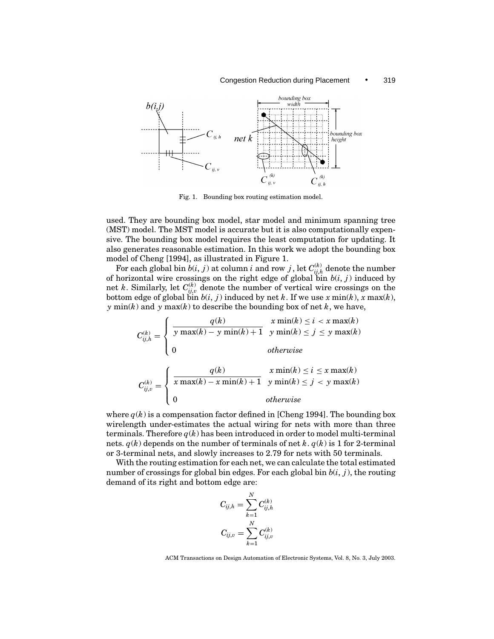#### Congestion Reduction during Placement • 319



Fig. 1. Bounding box routing estimation model.

used. They are bounding box model, star model and minimum spanning tree (MST) model. The MST model is accurate but it is also computationally expensive. The bounding box model requires the least computation for updating. It also generates reasonable estimation. In this work we adopt the bounding box model of Cheng [1994], as illustrated in Figure 1.

For each global bin  $b(i, j)$  at column  $i$  and row  $j$  , let  $C_{ij, h}^{(k)}$  denote the number of horizontal wire crossings on the right edge of global bin *b*(*i*, *j*) induced by net *k*. Similarly, let  $C^{(k)}_{ij,v}$  denote the number of vertical wire crossings on the bottom edge of global bin  $b(i, j)$  induced by net k. If we use x min(k), x max(k), *y* min(*k*) and *y* max(*k*) to describe the bounding box of net *k*, we have,

$$
C_{ij,h}^{(k)} = \begin{cases} \frac{q(k)}{y \max(k) - y \min(k) + 1} & x \min(k) \le i < x \max(k) \\ 0 & \text{otherwise} \end{cases}
$$
\n
$$
C_{ij,v}^{(k)} = \begin{cases} \frac{q(k)}{x \max(k) - x \min(k) + 1} & x \min(k) \le i \le x \max(k) \\ 0 & \text{otherwise} \end{cases}
$$
\n
$$
C_{ij,v}^{(k)} = \begin{cases} \frac{q(k)}{x \max(k) - x \min(k) + 1} & y \min(k) \le j < y \max(k) \\ 0 & \text{otherwise} \end{cases}
$$

where  $q(k)$  is a compensation factor defined in [Cheng 1994]. The bounding box wirelength under-estimates the actual wiring for nets with more than three terminals. Therefore *q*(*k*) has been introduced in order to model multi-terminal nets.  $q(k)$  depends on the number of terminals of net *k*.  $q(k)$  is 1 for 2-terminal or 3-terminal nets, and slowly increases to 2.79 for nets with 50 terminals.

With the routing estimation for each net, we can calculate the total estimated number of crossings for global bin edges. For each global bin  $b(i, j)$ , the routing demand of its right and bottom edge are:

$$
C_{ij,h} = \sum_{k=1}^{N} C_{ij,h}^{(k)}
$$

$$
C_{ij,v} = \sum_{k=1}^{N} C_{ij,v}^{(k)}
$$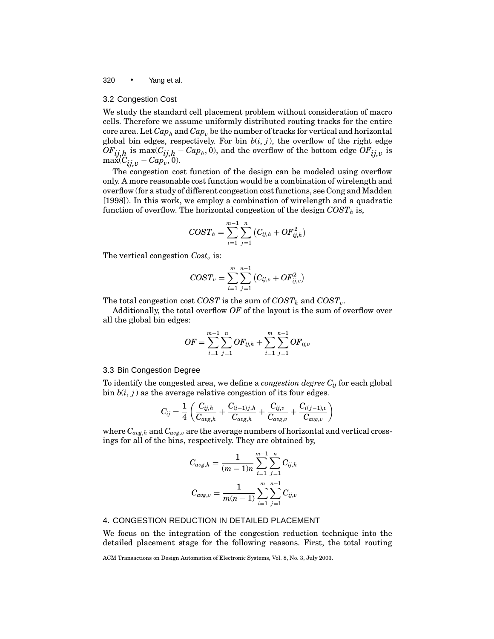## 3.2 Congestion Cost

We study the standard cell placement problem without consideration of macro cells. Therefore we assume uniformly distributed routing tracks for the entire core area. Let  $Cap_h$  and  $Cap_v$  be the number of tracks for vertical and horizontal global bin edges, respectively. For bin  $b(i, j)$ , the overflow of the right edge  $OF_{ii,h}$  is max $(C_{ii,h} - Cap_h, 0)$ , and the overflow of the bottom edge  $OF_{ii,v}$  is  $\max^{ij,n}(C_{ij, v} - Cap_{v}^{ij,n})$ .

The congestion cost function of the design can be modeled using overflow only. A more reasonable cost function would be a combination of wirelength and overflow (for a study of different congestion cost functions, see Cong and Madden [1998]). In this work, we employ a combination of wirelength and a quadratic function of overflow. The horizontal congestion of the design  $COST_h$  is,

$$
COST_h = \sum_{i=1}^{m-1} \sum_{j=1}^{n} (C_{ij,h} + OF_{ij,h}^2)
$$

The vertical congestion  $Cost_v$  is:

$$
COST_v = \sum_{i=1}^{m} \sum_{j=1}^{n-1} (C_{ij,v} + OF_{ij,v}^2)
$$

The total congestion cost *COST* is the sum of  $COST_h$  and  $COST_v$ .

Additionally, the total overflow *OF* of the layout is the sum of overflow over all the global bin edges:

$$
OF = \sum_{i=1}^{m-1} \sum_{j=1}^{n} OF_{ij,h} + \sum_{i=1}^{m} \sum_{j=1}^{n-1} OF_{ij,v}
$$

#### 3.3 Bin Congestion Degree

To identify the congested area, we define a *congestion degree Cij* for each global bin  $b(i, j)$  as the average relative congestion of its four edges.

$$
C_{ij} = \frac{1}{4} \left( \frac{C_{ij,h}}{C_{avg,h}} + \frac{C_{(i-1)j,h}}{C_{avg,h}} + \frac{C_{ij,v}}{C_{avg,v}} + \frac{C_{i(j-1),v}}{C_{avg,v}} \right)
$$

where *Cavg*,*<sup>h</sup>* and *Cavg*,*<sup>v</sup>* are the average numbers of horizontal and vertical crossings for all of the bins, respectively. They are obtained by,

$$
C_{avg,h} = \frac{1}{(m-1)n} \sum_{i=1}^{m-1} \sum_{j=1}^{n} C_{ij,h}
$$

$$
C_{avg,v} = \frac{1}{m(n-1)} \sum_{i=1}^{m} \sum_{j=1}^{n-1} C_{ij,v}
$$

# 4. CONGESTION REDUCTION IN DETAILED PLACEMENT

We focus on the integration of the congestion reduction technique into the detailed placement stage for the following reasons. First, the total routing

ACM Transactions on Design Automation of Electronic Systems, Vol. 8, No. 3, July 2003.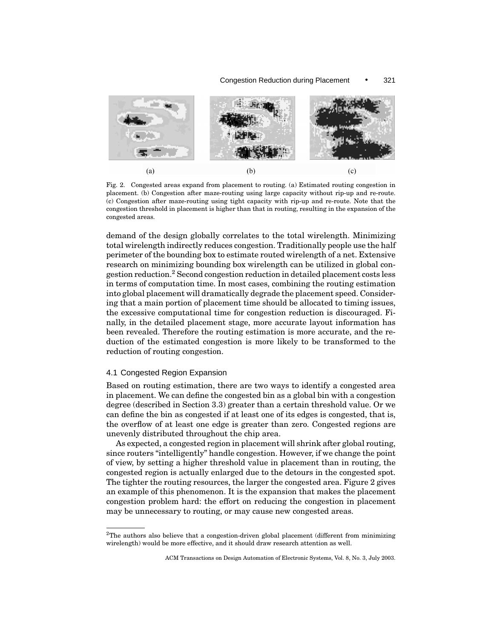

Fig. 2. Congested areas expand from placement to routing. (a) Estimated routing congestion in placement. (b) Congestion after maze-routing using large capacity without rip-up and re-route. (c) Congestion after maze-routing using tight capacity with rip-up and re-route. Note that the congestion threshold in placement is higher than that in routing, resulting in the expansion of the congested areas.

demand of the design globally correlates to the total wirelength. Minimizing total wirelength indirectly reduces congestion. Traditionally people use the half perimeter of the bounding box to estimate routed wirelength of a net. Extensive research on minimizing bounding box wirelength can be utilized in global congestion reduction.2 Second congestion reduction in detailed placement costs less in terms of computation time. In most cases, combining the routing estimation into global placement will dramatically degrade the placement speed. Considering that a main portion of placement time should be allocated to timing issues, the excessive computational time for congestion reduction is discouraged. Finally, in the detailed placement stage, more accurate layout information has been revealed. Therefore the routing estimation is more accurate, and the reduction of the estimated congestion is more likely to be transformed to the reduction of routing congestion.

## 4.1 Congested Region Expansion

Based on routing estimation, there are two ways to identify a congested area in placement. We can define the congested bin as a global bin with a congestion degree (described in Section 3.3) greater than a certain threshold value. Or we can define the bin as congested if at least one of its edges is congested, that is, the overflow of at least one edge is greater than zero. Congested regions are unevenly distributed throughout the chip area.

As expected, a congested region in placement will shrink after global routing, since routers "intelligently" handle congestion. However, if we change the point of view, by setting a higher threshold value in placement than in routing, the congested region is actually enlarged due to the detours in the congested spot. The tighter the routing resources, the larger the congested area. Figure 2 gives an example of this phenomenon. It is the expansion that makes the placement congestion problem hard: the effort on reducing the congestion in placement may be unnecessary to routing, or may cause new congested areas.

<sup>&</sup>lt;sup>2</sup>The authors also believe that a congestion-driven global placement (different from minimizing) wirelength) would be more effective, and it should draw research attention as well.

ACM Transactions on Design Automation of Electronic Systems, Vol. 8, No. 3, July 2003.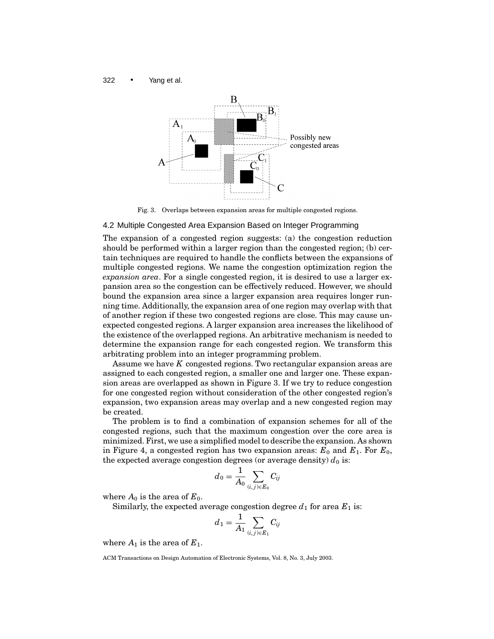

Fig. 3. Overlaps between expansion areas for multiple congested regions.

## 4.2 Multiple Congested Area Expansion Based on Integer Programming

The expansion of a congested region suggests: (a) the congestion reduction should be performed within a larger region than the congested region; (b) certain techniques are required to handle the conflicts between the expansions of multiple congested regions. We name the congestion optimization region the *expansion area*. For a single congested region, it is desired to use a larger expansion area so the congestion can be effectively reduced. However, we should bound the expansion area since a larger expansion area requires longer running time. Additionally, the expansion area of one region may overlap with that of another region if these two congested regions are close. This may cause unexpected congested regions. A larger expansion area increases the likelihood of the existence of the overlapped regions. An arbitrative mechanism is needed to determine the expansion range for each congested region. We transform this arbitrating problem into an integer programming problem.

Assume we have *K* congested regions. Two rectangular expansion areas are assigned to each congested region, a smaller one and larger one. These expansion areas are overlapped as shown in Figure 3. If we try to reduce congestion for one congested region without consideration of the other congested region's expansion, two expansion areas may overlap and a new congested region may be created.

The problem is to find a combination of expansion schemes for all of the congested regions, such that the maximum congestion over the core area is minimized. First, we use a simplified model to describe the expansion. As shown in Figure 4, a congested region has two expansion areas:  $E_0$  and  $E_1$ . For  $E_0$ , the expected average congestion degrees (or average density)  $d_0$  is:

$$
d_0=\frac{1}{A_0}\sum_{(i,j)\in E_0}C_{ij}
$$

where  $A_0$  is the area of  $E_0$ .

Similarly, the expected average congestion degree  $d_1$  for area  $E_1$  is:

$$
d_1=\frac{1}{A_1}\sum_{(i,j)\in E_1}C_{ij}
$$

where  $A_1$  is the area of  $E_1$ .

ACM Transactions on Design Automation of Electronic Systems, Vol. 8, No. 3, July 2003.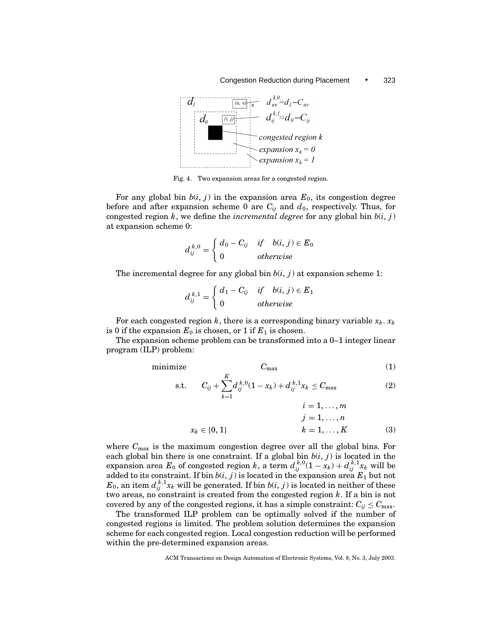#### Congestion Reduction during Placement • 323



Fig. 4. Two expansion areas for a congested region.

For any global bin  $b(i, j)$  in the expansion area  $E_0$ , its congestion degree before and after expansion scheme 0 are  $C_{ij}$  and  $d_0$ , respectively. Thus, for congested region  $k$ , we define the *incremental degree* for any global bin  $b(i, j)$ at expansion scheme 0:

$$
d_{ij}^{\;k,0}=\left\{\begin{matrix} d_0-C_{ij} & if & b(i,j)\in E_0\\ 0 & otherwise \end{matrix}\right.
$$

The incremental degree for any global bin  $b(i, j)$  at expansion scheme 1:

$$
d_{ij}^{k,1} = \begin{cases} d_1 - C_{ij} & \text{if} \quad b(i,j) \in E_1 \\ 0 & \text{otherwise} \end{cases}
$$

For each congested region  $k$ , there is a corresponding binary variable  $x_k$ .  $x_k$ is 0 if the expansion  $E_0$  is chosen, or 1 if  $E_1$  is chosen.

The expansion scheme problem can be transformed into a 0–1 integer linear program (ILP) problem:

$$
minimize \t Cmax \t (1)
$$

s.t. 
$$
C_{ij} + \sum_{k=1}^{K} d_{ij}^{k,0} (1 - x_k) + d_{ij}^{k,1} x_k \le C_{\text{max}}
$$
 (2)

$$
i = 1, ..., m
$$
  
\n
$$
j = 1, ..., n
$$
  
\n
$$
x_k \in \{0, 1\}
$$
  
\n
$$
k = 1, ..., K
$$
  
\n(3)

where  $C_{\text{max}}$  is the maximum congestion degree over all the global bins. For each global bin there is one constraint. If a global bin *b*(*i*, *j*) is located in the  $\alpha$  expansion area  $E_0$  of congested region  $k$ , a term  $d_{ij}^{k,0}(1-x_k) + d_{ij}^{k,1}x_k$  will be added to its constraint. If  $\sin b(i, j)$  is located in the expansion area  $E_1$  but not  $E_0$ , an item  $d_{ij}^{\;k,1}x_k$  will be generated. If bin  $b(i,j)$  is located in neither of these two areas, no constraint is created from the congested region *k*. If a bin is not covered by any of the congested regions, it has a simple constraint:  $C_{ij} \leq C_{\text{max}}$ .

The transformed ILP problem can be optimally solved if the number of congested regions is limited. The problem solution determines the expansion scheme for each congested region. Local congestion reduction will be performed within the pre-determined expansion areas.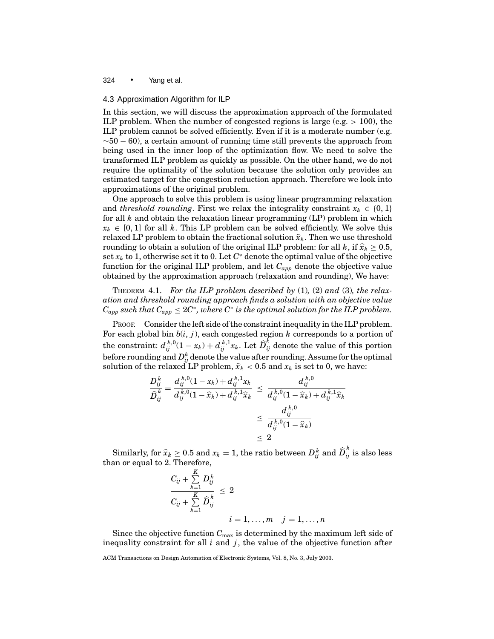## 4.3 Approximation Algorithm for ILP

In this section, we will discuss the approximation approach of the formulated ILP problem. When the number of congested regions is large (e.g.  $> 100$ ), the ILP problem cannot be solved efficiently. Even if it is a moderate number (e.g.  $~\sim$ 50 − 60), a certain amount of running time still prevents the approach from being used in the inner loop of the optimization flow. We need to solve the transformed ILP problem as quickly as possible. On the other hand, we do not require the optimality of the solution because the solution only provides an estimated target for the congestion reduction approach. Therefore we look into approximations of the original problem.

One approach to solve this problem is using linear programming relaxation and *threshold rounding*. First we relax the integrality constraint  $x_k \in \{0, 1\}$ for all *k* and obtain the relaxation linear programming (LP) problem in which  $x_k \in [0, 1]$  for all k. This LP problem can be solved efficiently. We solve this relaxed LP problem to obtain the fractional solution  $\hat{x}_k$ . Then we use threshold rounding to obtain a solution of the original ILP problem: for all *k*, if  $\hat{x}_k \geq 0.5$ , set  $x_k$  to 1, otherwise set it to 0. Let  $C^*$  denote the optimal value of the objective function for the original ILP problem, and let  $C_{app}$  denote the objective value obtained by the approximation approach (relaxation and rounding), We have:

THEOREM 4.1. *For the ILP problem described by* (1)*,* (2) *and* (3)*, the relaxation and threshold rounding approach finds a solution with an objective value*  $C_{app}$  *such that*  $C_{app} \leq 2C^*$ *, where*  $C^*$  *is the optimal solution for the ILP problem.* 

PROOF. Consider the left side of the constraint inequality in the ILP problem. For each global bin  $b(i, j)$ , each congested region  $k$  corresponds to a portion of  $i$  the constraint:  $d_{ij}^{k,0}(1-x_k) + d_{ij}^{k,1}x_k$ . Let  $\widehat{D}_{ij}^k$  denote the value of this portion before rounding and  $D_{ij}^k$  denote the value after rounding. Assume for the optimal solution of the relaxed LP problem,  $\hat{x}_k < 0.5$  and  $x_k$  is set to 0, we have:

$$
\frac{D_{ij}^k}{\hat{D}_{ij}^k} = \frac{d_{ij}^{k,0}(1-x_k) + d_{ij}^{k,1}x_k}{d_{ij}^{k,0}(1-\hat{x}_k) + d_{ij}^{k,1}\hat{x}_k} \le \frac{d_{ij}^{k,0}}{d_{ij}^{k,0}(1-\hat{x}_k) + d_{ij}^{k,1}\hat{x}_k} \le \frac{d_{ij}^{k,0}}{d_{ij}^{k,0}(1-\hat{x}_k)} \le \frac{d_{ij}^{k,0}}{d_{ij}^{k,0}(1-\hat{x}_k)} \le 2
$$

 $\text{Similarly, for } \hat{x}_k \geq 0.5 \text{ and } x_k = 1 \text{, the ratio between } D^k_{ij} \text{ and } \hat{D}^k_{ij} \text{ is also less}$ than or equal to 2. Therefore,

$$
\frac{C_{ij} + \sum\limits_{k=1}^{K} D_{ij}^k}{C_{ij} + \sum\limits_{k=1}^{K} \widehat{D}_{ij}^k} \leq 2
$$
  

$$
i = 1, \ldots, m \quad j = 1, \ldots, n
$$

Since the objective function  $C_{\text{max}}$  is determined by the maximum left side of inequality constraint for all  $i$  and  $j$ , the value of the objective function after

ACM Transactions on Design Automation of Electronic Systems, Vol. 8, No. 3, July 2003.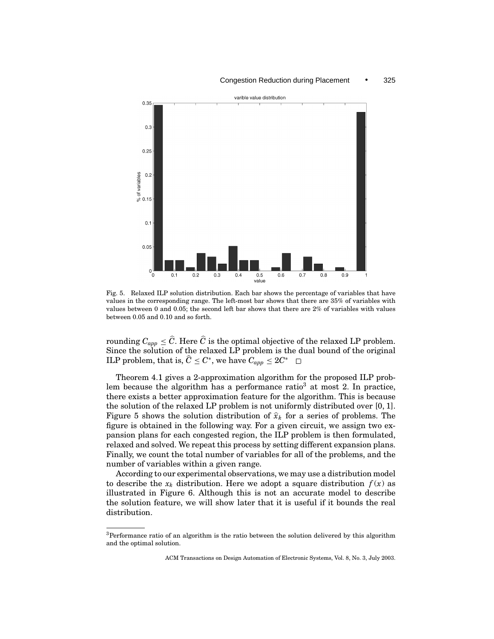#### Congestion Reduction during Placement • 325



Fig. 5. Relaxed ILP solution distribution. Each bar shows the percentage of variables that have values in the corresponding range. The left-most bar shows that there are 35% of variables with values between 0 and 0.05; the second left bar shows that there are 2% of variables with values between 0.05 and 0.10 and so forth.

rounding  $C_{app} \leq \hat{C}$ . Here  $\hat{C}$  is the optimal objective of the relaxed LP problem. Since the solution of the relaxed LP problem is the dual bound of the original ILP problem, that is,  $\hat{C} \leq C^*$ , we have  $C_{app} \leq 2C^*$ 

Theorem 4.1 gives a 2-approximation algorithm for the proposed ILP problem because the algorithm has a performance ratio<sup>3</sup> at most 2. In practice, there exists a better approximation feature for the algorithm. This is because the solution of the relaxed LP problem is not uniformly distributed over [0, 1]. Figure 5 shows the solution distribution of  $\hat{x}_k$  for a series of problems. The figure is obtained in the following way. For a given circuit, we assign two expansion plans for each congested region, the ILP problem is then formulated, relaxed and solved. We repeat this process by setting different expansion plans. Finally, we count the total number of variables for all of the problems, and the number of variables within a given range.

According to our experimental observations, we may use a distribution model to describe the  $x_k$  distribution. Here we adopt a square distribution  $f(x)$  as illustrated in Figure 6. Although this is not an accurate model to describe the solution feature, we will show later that it is useful if it bounds the real distribution.

 $3$ Performance ratio of an algorithm is the ratio between the solution delivered by this algorithm and the optimal solution.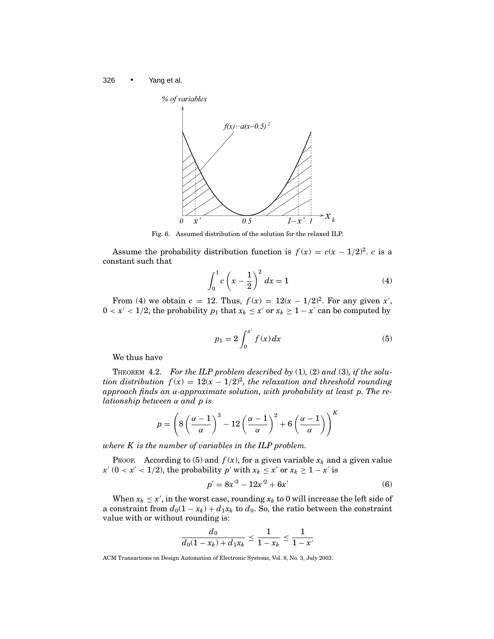

Fig. 6. Assumed distribution of the solution for the relaxed ILP.

Assume the probability distribution function is  $f(x) = c(x - 1/2)^2$ . *c* is a constant such that

$$
\int_0^1 c\left(x - \frac{1}{2}\right)^2 dx = 1\tag{4}
$$

From (4) we obtain  $c = 12$ . Thus,  $f(x) = 12(x - 1/2)^2$ . For any given x',  $0 < x' < 1/2$ , the probability  $p_1$  that  $x_k \leq x'$  or  $x_k \geq 1-x'$  can be computed by

$$
p_1 = 2 \int_0^{x'} f(x) dx
$$
 (5)

We thus have

THEOREM 4.2. *For the ILP problem described by* (1)*,* (2) *and* (3)*, if the solution distribution*  $f(x) = 12(x - 1/2)^2$ , the relaxation and threshold rounding *approach finds an* α*-approximate solution, with probability at least p. The relationship between* α *and p is*

$$
p = \left(8\left(\frac{\alpha-1}{\alpha}\right)^3 - 12\left(\frac{\alpha-1}{\alpha}\right)^2 + 6\left(\frac{\alpha-1}{\alpha}\right)\right)^K
$$

*where K is the number of variables in the ILP problem.*

PROOF. According to (5) and  $f(x)$ , for a given variable  $x_k$  and a given value  $x'(0 < x' < 1/2)$ , the probability *p*<sup>*'*</sup> with  $x_k \le x'$  or  $x_k \ge 1 - x'$  is

$$
p' = 8x'^3 - 12x'^2 + 6x'
$$
 (6)

When  $x_k \leq x'$ , in the worst case, rounding  $x_k$  to 0 will increase the left side of a constraint from  $d_0(1 - x_k) + d_1x_k$  to  $d_0$ . So, the ratio between the constraint value with or without rounding is:

$$
\frac{d_0}{d_0(1-x_k) + d_1x_k} \le \frac{1}{1-x_k} \le \frac{1}{1-x'}
$$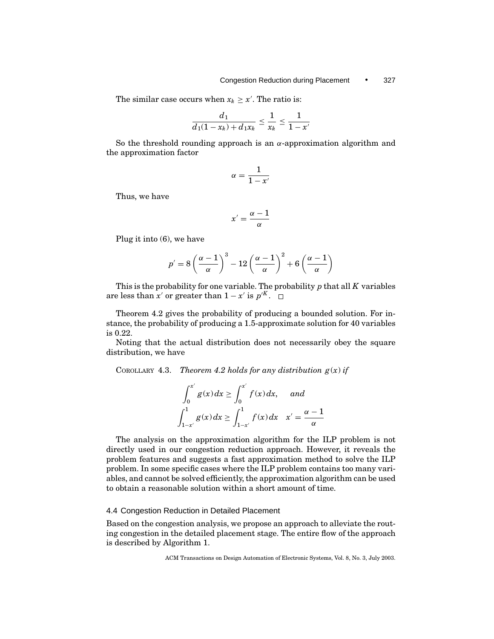The similar case occurs when  $x_k \geq x'$ . The ratio is:

$$
\frac{d_1}{d_1(1-x_k)+d_1x_k}\leq \frac{1}{x_k}\leq \frac{1}{1-x'}
$$

So the threshold rounding approach is an  $\alpha$ -approximation algorithm and the approximation factor

$$
\alpha=\frac{1}{1-x'}
$$

Thus, we have

$$
x'=\frac{\alpha-1}{\alpha}
$$

Plug it into (6), we have

$$
p'=8\left(\frac{\alpha-1}{\alpha}\right)^3-12\left(\frac{\alpha-1}{\alpha}\right)^2+6\left(\frac{\alpha-1}{\alpha}\right)
$$

This is the probability for one variable. The probability *p* that all *K* variables are less than *x'* or greater than  $1 - x'$  is  $p^{K}$ .  $\Box$ 

Theorem 4.2 gives the probability of producing a bounded solution. For instance, the probability of producing a 1.5-approximate solution for 40 variables is 0.22.

Noting that the actual distribution does not necessarily obey the square distribution, we have

COROLLARY 4.3. *Theorem 4.2 holds for any distribution*  $g(x)$  *if* 

$$
\int_0^{x'} g(x) dx \ge \int_0^{x'} f(x) dx, \quad and
$$
  

$$
\int_{1-x'}^1 g(x) dx \ge \int_{1-x'}^1 f(x) dx \quad x' = \frac{\alpha - 1}{\alpha}
$$

The analysis on the approximation algorithm for the ILP problem is not directly used in our congestion reduction approach. However, it reveals the problem features and suggests a fast approximation method to solve the ILP problem. In some specific cases where the ILP problem contains too many variables, and cannot be solved efficiently, the approximation algorithm can be used to obtain a reasonable solution within a short amount of time.

#### 4.4 Congestion Reduction in Detailed Placement

Based on the congestion analysis, we propose an approach to alleviate the routing congestion in the detailed placement stage. The entire flow of the approach is described by Algorithm 1.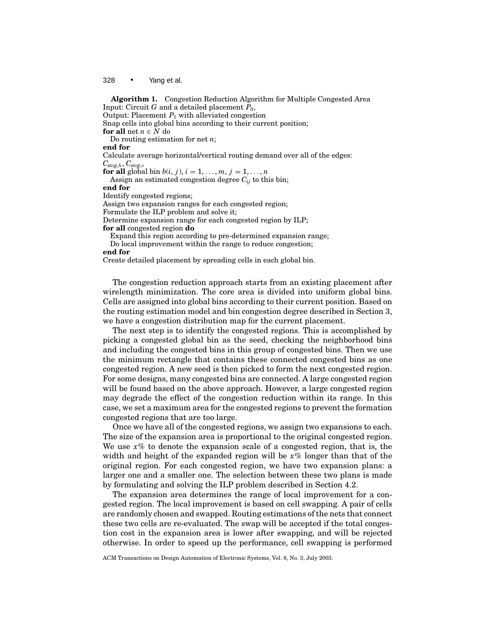**Algorithm 1.** Congestion Reduction Algorithm for Multiple Congested Area Input: Circuit *G* and a detailed placement  $P_0$ , Output: Placement *P*<sup>1</sup> with alleviated congestion Snap cells into global bins according to their current position; **for all** net  $n \in N$  do Do routing estimation for net *n*; **end for** Calculate average horizontal/vertical routing demand over all of the edges: *Cavg*,*h*, *Cavg*,*<sup>v</sup>* **for all** global bin  $b(i, j)$ ,  $i = 1, ..., m$ ,  $j = 1, ..., n$ Assign an estimated congestion degree  $C_{ii}$  to this bin; **end for** Identify congested regions; Assign two expansion ranges for each congested region; Formulate the ILP problem and solve it; Determine expansion range for each congested region by ILP; **for all** congested region **do** Expand this region according to pre-determined expansion range; Do local improvement within the range to reduce congestion; **end for** Create detailed placement by spreading cells in each global bin.

The congestion reduction approach starts from an existing placement after wirelength minimization. The core area is divided into uniform global bins. Cells are assigned into global bins according to their current position. Based on the routing estimation model and bin congestion degree described in Section 3, we have a congestion distribution map for the current placement.

The next step is to identify the congested regions. This is accomplished by picking a congested global bin as the seed, checking the neighborhood bins and including the congested bins in this group of congested bins. Then we use the minimum rectangle that contains these connected congested bins as one congested region. A new seed is then picked to form the next congested region. For some designs, many congested bins are connected. A large congested region will be found based on the above approach. However, a large congested region may degrade the effect of the congestion reduction within its range. In this case, we set a maximum area for the congested regions to prevent the formation congested regions that are too large.

Once we have all of the congested regions, we assign two expansions to each. The size of the expansion area is proportional to the original congested region. We use *x*% to denote the expansion scale of a congested region, that is, the width and height of the expanded region will be *x*% longer than that of the original region. For each congested region, we have two expansion plans: a larger one and a smaller one. The selection between these two plans is made by formulating and solving the ILP problem described in Section 4.2.

The expansion area determines the range of local improvement for a congested region. The local improvement is based on cell swapping. A pair of cells are randomly chosen and swapped. Routing estimations of the nets that connect these two cells are re-evaluated. The swap will be accepted if the total congestion cost in the expansion area is lower after swapping, and will be rejected otherwise. In order to speed up the performance, cell swapping is performed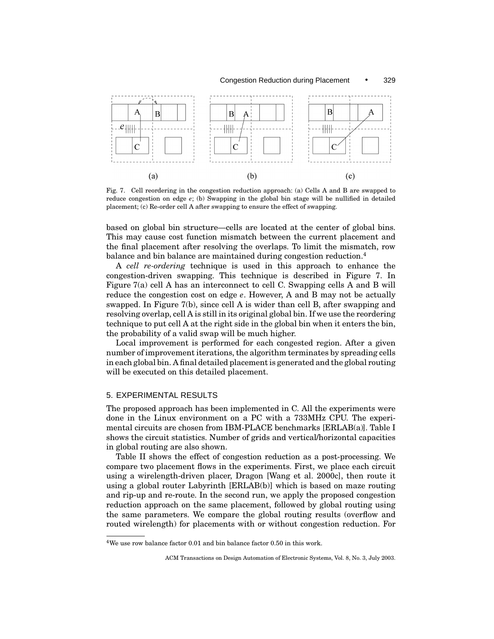

Fig. 7. Cell reordering in the congestion reduction approach: (a) Cells A and B are swapped to reduce congestion on edge *e*; (b) Swapping in the global bin stage will be nullified in detailed placement; (c) Re-order cell A after swapping to ensure the effect of swapping.

based on global bin structure—cells are located at the center of global bins. This may cause cost function mismatch between the current placement and the final placement after resolving the overlaps. To limit the mismatch, row balance and bin balance are maintained during congestion reduction.4

A *cell re-ordering* technique is used in this approach to enhance the congestion-driven swapping. This technique is described in Figure 7. In Figure 7(a) cell A has an interconnect to cell C. Swapping cells A and B will reduce the congestion cost on edge *e*. However, A and B may not be actually swapped. In Figure 7(b), since cell A is wider than cell B, after swapping and resolving overlap, cell A is still in its original global bin. If we use the reordering technique to put cell A at the right side in the global bin when it enters the bin, the probability of a valid swap will be much higher.

Local improvement is performed for each congested region. After a given number of improvement iterations, the algorithm terminates by spreading cells in each global bin. A final detailed placement is generated and the global routing will be executed on this detailed placement.

## 5. EXPERIMENTAL RESULTS

The proposed approach has been implemented in C. All the experiments were done in the Linux environment on a PC with a 733MHz CPU. The experimental circuits are chosen from IBM-PLACE benchmarks [ERLAB(a)]. Table I shows the circuit statistics. Number of grids and vertical/horizontal capacities in global routing are also shown.

Table II shows the effect of congestion reduction as a post-processing. We compare two placement flows in the experiments. First, we place each circuit using a wirelength-driven placer, Dragon [Wang et al. 2000c], then route it using a global router Labyrinth [ERLAB(b)] which is based on maze routing and rip-up and re-route. In the second run, we apply the proposed congestion reduction approach on the same placement, followed by global routing using the same parameters. We compare the global routing results (overflow and routed wirelength) for placements with or without congestion reduction. For

<sup>&</sup>lt;sup>4</sup>We use row balance factor 0.01 and bin balance factor 0.50 in this work.

ACM Transactions on Design Automation of Electronic Systems, Vol. 8, No. 3, July 2003.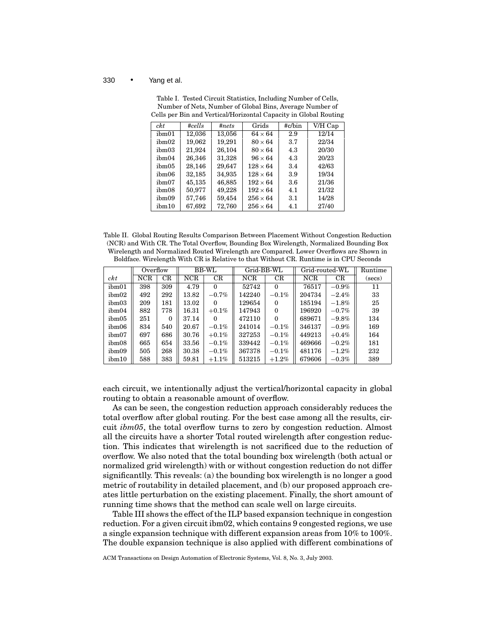| ckt               | $\#cells$ | #nets  | Grids           | $\sqrt{\frac{4}{1}}$ | V/H Cap |
|-------------------|-----------|--------|-----------------|----------------------|---------|
| ibm01             | 12,036    | 13,056 | $64 \times 64$  | 2.9                  | 12/14   |
| ibm02             | 19,062    | 19,291 | $80 \times 64$  | 3.7                  | 22/34   |
| ibm03             | 21,924    | 26,104 | $80 \times 64$  | 4.3                  | 20/30   |
| ibm <sub>04</sub> | 26,346    | 31,328 | $96 \times 64$  | 4.3                  | 20/23   |
| ibm05             | 28,146    | 29,647 | $128 \times 64$ | 3.4                  | 42/63   |
| ibm06             | 32,185    | 34,935 | $128 \times 64$ | 3.9                  | 19/34   |
| ibm07             | 45,135    | 46,885 | $192 \times 64$ | 3.6                  | 21/36   |
| ibm08             | 50,977    | 49,228 | $192 \times 64$ | 4.1                  | 21/32   |
| ibm09             | 57,746    | 59,454 | $256\times64$   | 3.1                  | 14/28   |
| ibm10             | 67,692    | 72,760 | $256\times64$   | 4.1                  | 27/40   |

Table I. Tested Circuit Statistics, Including Number of Cells, Number of Nets, Number of Global Bins, Average Number of Cells per Bin and Vertical/Horizontal Capacity in Global Routing

Table II. Global Routing Results Comparison Between Placement Without Congestion Reduction (NCR) and With CR. The Total Overflow, Bounding Box Wirelength, Normalized Bounding Box Wirelength and Normalized Routed Wirelength are Compared. Lower Overflows are Shown in Boldface. Wirelength With CR is Relative to that Without CR. Runtime is in CPU Seconds

|                   | Overflow     |             | BB-WL        |          | Grid-BB-WL |          | Grid-routed-WL |          | Runtime |
|-------------------|--------------|-------------|--------------|----------|------------|----------|----------------|----------|---------|
| ckt               | $_{\rm NCR}$ | $_{\rm CR}$ | $_{\rm NCR}$ | CR       | NCR        | CR       | NCR            | CR       | (secs)  |
| ibm01             | 398          | 309         | 4.79         | $\Omega$ | 52742      | $\Omega$ | 76517          | $-0.9\%$ | 11      |
| ibm <sub>02</sub> | 492          | 292         | 13.82        | $-0.7\%$ | 142240     | $-0.1\%$ | 204734         | $-2.4\%$ | 33      |
| ibm <sub>03</sub> | 209          | 181         | 13.02        | 0        | 129654     |          | 185194         | $-1.8\%$ | 25      |
| ibm04             | 882          | 778         | 16.31        | $+0.1\%$ | 147943     | $\Omega$ | 196920         | $-0.7%$  | 39      |
| ibm05             | 251          | $\Omega$    | 37.14        | $\Omega$ | 472110     | 0        | 689671         | $-9.8\%$ | 134     |
| ibm06             | 834          | 540         | 20.67        | $-0.1\%$ | 241014     | $-0.1\%$ | 346137         | $-0.9\%$ | 169     |
| ibm07             | 697          | 686         | 30.76        | $+0.1\%$ | 327253     | $-0.1\%$ | 449213         | $+0.4\%$ | 164     |
| ibm08             | 665          | 654         | 33.56        | $-0.1\%$ | 339442     | $-0.1\%$ | 469666         | $-0.2%$  | 181     |
| ibm09             | 505          | 268         | 30.38        | $-0.1\%$ | 367378     | $-0.1\%$ | 481176         | $-1.2%$  | 232     |
| ibm10             | 588          | 383         | 59.81        | $+1.1\%$ | 513215     | $+1.2\%$ | 679606         | $-0.3\%$ | 389     |

each circuit, we intentionally adjust the vertical/horizontal capacity in global routing to obtain a reasonable amount of overflow.

As can be seen, the congestion reduction approach considerably reduces the total overflow after global routing. For the best case among all the results, circuit *ibm05*, the total overflow turns to zero by congestion reduction. Almost all the circuits have a shorter Total routed wirelength after congestion reduction. This indicates that wirelength is not sacrificed due to the reduction of overflow. We also noted that the total bounding box wirelength (both actual or normalized grid wirelength) with or without congestion reduction do not differ significantlly. This reveals: (a) the bounding box wirelength is no longer a good metric of routability in detailed placement, and (b) our proposed approach creates little perturbation on the existing placement. Finally, the short amount of running time shows that the method can scale well on large circuits.

Table III shows the effect of the ILP based expansion technique in congestion reduction. For a given circuit ibm02, which contains 9 congested regions, we use a single expansion technique with different expansion areas from 10% to 100%. The double expansion technique is also applied with different combinations of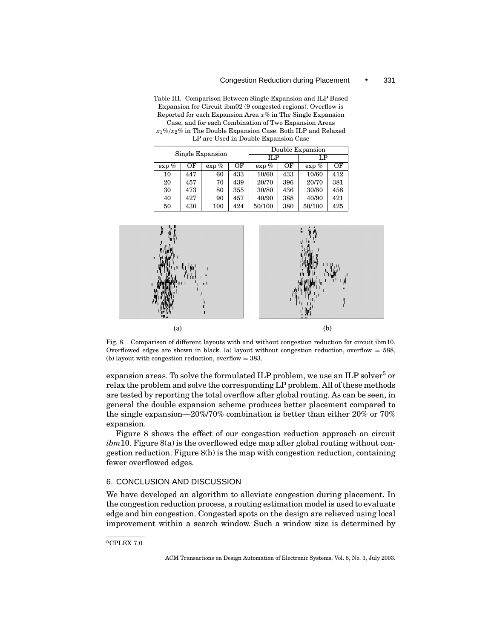Table III. Comparison Between Single Expansion and ILP Based Expansion for Circuit ibm02 (9 congested regions). Overflow is Reported for each Expansion Area *x*% in The Single Expansion Case, and for each Combination of Two Expansion Areas

*x*1%/*x*2% in The Double Expansion Case. Both ILP and Relaxed LP are Used in Double Expansion Case

| Single Expansion |     |             |     | Double Expansion |     |           |     |  |
|------------------|-----|-------------|-----|------------------|-----|-----------|-----|--|
|                  |     |             |     | ILP              |     | LP        |     |  |
| %<br>exp         | ОF  | $\%$<br>exp | ОF  | $\%$<br>exp      | OF  | $\exp \%$ | ΟF  |  |
| 10               | 447 | 60          | 433 | 10/60            | 433 | 10/60     | 412 |  |
| 20               | 457 | 70          | 439 | 20/70            | 396 | 20/70     | 381 |  |
| 30               | 473 | 80          | 355 | 30/80            | 436 | 30/80     | 458 |  |
| 40               | 427 | 90          | 457 | 40/90            | 388 | 40/90     | 421 |  |
| 50               | 430 | 100         | 424 | 50/100           | 380 | 50/100    | 425 |  |



Fig. 8. Comparison of different layouts with and without congestion reduction for circuit ibm10. Overflowed edges are shown in black. (a) layout without congestion reduction, overflow  $= 588$ , (b) layout with congestion reduction, overflow = 383.

expansion areas. To solve the formulated ILP problem, we use an ILP solver<sup>5</sup> or relax the problem and solve the corresponding LP problem. All of these methods are tested by reporting the total overflow after global routing. As can be seen, in general the double expansion scheme produces better placement compared to the single expansion—20%/70% combination is better than either 20% or 70% expansion.

Figure 8 shows the effect of our congestion reduction approach on circuit *ibm* 10. Figure 8(a) is the overflowed edge map after global routing without congestion reduction. Figure 8(b) is the map with congestion reduction, containing fewer overflowed edges.

# 6. CONCLUSION AND DISCUSSION

We have developed an algorithm to alleviate congestion during placement. In the congestion reduction process, a routing estimation model is used to evaluate edge and bin congestion. Congested spots on the design are relieved using local improvement within a search window. Such a window size is determined by

<sup>5</sup>CPLEX 7.0

ACM Transactions on Design Automation of Electronic Systems, Vol. 8, No. 3, July 2003.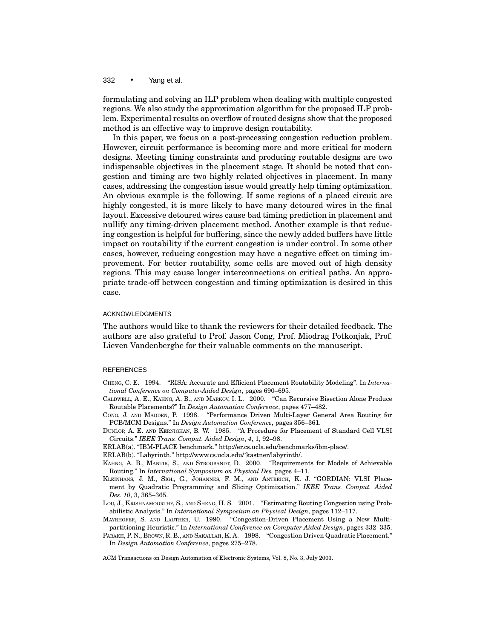formulating and solving an ILP problem when dealing with multiple congested regions. We also study the approximation algorithm for the proposed ILP problem. Experimental results on overflow of routed designs show that the proposed method is an effective way to improve design routability.

In this paper, we focus on a post-processing congestion reduction problem. However, circuit performance is becoming more and more critical for modern designs. Meeting timing constraints and producing routable designs are two indispensable objectives in the placement stage. It should be noted that congestion and timing are two highly related objectives in placement. In many cases, addressing the congestion issue would greatly help timing optimization. An obvious example is the following. If some regions of a placed circuit are highly congested, it is more likely to have many detoured wires in the final layout. Excessive detoured wires cause bad timing prediction in placement and nullify any timing-driven placement method. Another example is that reducing congestion is helpful for buffering, since the newly added buffers have little impact on routability if the current congestion is under control. In some other cases, however, reducing congestion may have a negative effect on timing improvement. For better routability, some cells are moved out of high density regions. This may cause longer interconnections on critical paths. An appropriate trade-off between congestion and timing optimization is desired in this case.

#### ACKNOWLEDGMENTS

The authors would like to thank the reviewers for their detailed feedback. The authors are also grateful to Prof. Jason Cong, Prof. Miodrag Potkonjak, Prof. Lieven Vandenberghe for their valuable comments on the manuscript.

#### REFERENCES

- CHENG, C. E. 1994. "RISA: Accurate and Efficient Placement Routability Modeling". In *International Conference on Computer-Aided Design*, pages 690–695.
- CALDWELL, A. E., KAHNG, A. B., AND MARKOV, I. L. 2000. "Can Recursive Bisection Alone Produce Routable Placements?" In *Design Automation Conference*, pages 477–482.
- CONG, J. AND MADDEN, P. 1998. "Performance Driven Multi-Layer General Area Routing for PCB/MCM Designs." In *Design Automation Conference*, pages 356–361.
- DUNLOP, A. E. AND KERNIGHAN, B. W. 1985. "A Procedure for Placement of Standard Cell VLSI Circuits." *IEEE Trans. Comput. Aided Design*, *4*, 1, 92–98.
- ERLAB(a). "IBM-PLACE benchmark." http://er.cs.ucla.edu/benchmarks/ibm-place/.
- ERLAB(b). "Labyrinth." http://www.cs.ucla.edu/˜kastner/labyrinth/.
- KAHNG, A. B., MANTIK, S., AND STROOBANDT, D. 2000. "Requirements for Models of Achievable Routing." In *International Symposium on Physical Des.* pages 4–11.
- KLEINHANS, J. M., SIGL, G., JOHANNES, F. M., AND ANTREICH, K. J. "GORDIAN: VLSI Placement by Quadratic Programming and Slicing Optimization." *IEEE Trans. Comput. Aided Des. 10*, 3, 365–365.
- LOU, J., KRISHNAMOORTHY, S., AND SHENG, H. S. 2001. "Estimating Routing Congestion using Probabilistic Analysis." In *International Symposium on Physical Design*, pages 112–117.
- MAYRHOFER, S. AND LAUTHER, U. 1990. "Congestion-Driven Placement Using a New Multipartitioning Heuristic." In *International Conference on Computer-Aided Design*, pages 332–335.
- PARAKH, P. N., BROWN, R. B., AND SAKALLAH, K. A. 1998. "Congestion Driven Quadratic Placement." In *Design Automation Conference*, pages 275–278.